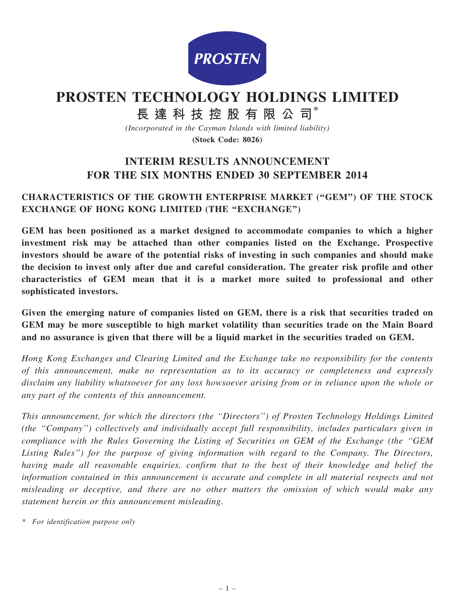

# PROSTEN TECHNOLOGY HOLDINGS LIMITED

長 達 科 技 控 股 有 限 公 司\*

(Incorporated in the Cayman Islands with limited liability)

(Stock Code: 8026)

## INTERIM RESULTS ANNOUNCEMENT FOR THE SIX MONTHS ENDED 30 SEPTEMBER 2014

### CHARACTERISTICS OF THE GROWTH ENTERPRISE MARKET (''GEM'') OF THE STOCK EXCHANGE OF HONG KONG LIMITED (THE "EXCHANGE")

GEM has been positioned as a market designed to accommodate companies to which a higher investment risk may be attached than other companies listed on the Exchange. Prospective investors should be aware of the potential risks of investing in such companies and should make the decision to invest only after due and careful consideration. The greater risk profile and other characteristics of GEM mean that it is a market more suited to professional and other sophisticated investors.

Given the emerging nature of companies listed on GEM, there is a risk that securities traded on GEM may be more susceptible to high market volatility than securities trade on the Main Board and no assurance is given that there will be a liquid market in the securities traded on GEM.

Hong Kong Exchanges and Clearing Limited and the Exchange take no responsibility for the contents of this announcement, make no representation as to its accuracy or completeness and expressly disclaim any liability whatsoever for any loss howsoever arising from or in reliance upon the whole or any part of the contents of this announcement.

This announcement, for which the directors (the ''Directors'') of Prosten Technology Holdings Limited (the ''Company'') collectively and individually accept full responsibility, includes particulars given in compliance with the Rules Governing the Listing of Securities on GEM of the Exchange (the ''GEM Listing Rules'') for the purpose of giving information with regard to the Company. The Directors, having made all reasonable enquiries, confirm that to the best of their knowledge and belief the information contained in this announcement is accurate and complete in all material respects and not misleading or deceptive, and there are no other matters the omission of which would make any statement herein or this announcement misleading.

\* For identification purpose only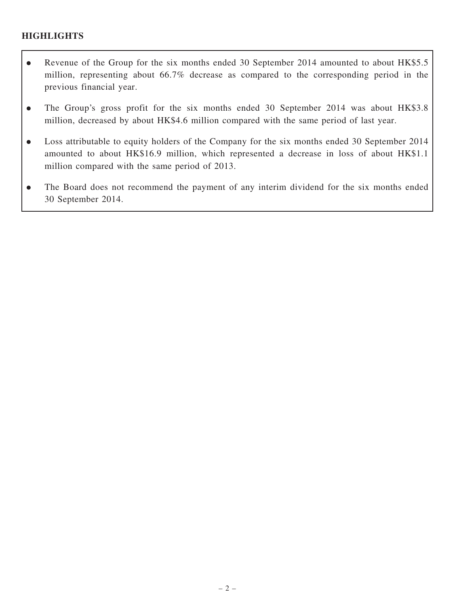### **HIGHLIGHTS**

- Revenue of the Group for the six months ended 30 September 2014 amounted to about HK\$5.5 million, representing about 66.7% decrease as compared to the corresponding period in the previous financial year.
- . The Group's gross profit for the six months ended 30 September 2014 was about HK\$3.8 million, decreased by about HK\$4.6 million compared with the same period of last year.
- . Loss attributable to equity holders of the Company for the six months ended 30 September 2014 amounted to about HK\$16.9 million, which represented a decrease in loss of about HK\$1.1 million compared with the same period of 2013.
- . The Board does not recommend the payment of any interim dividend for the six months ended 30 September 2014.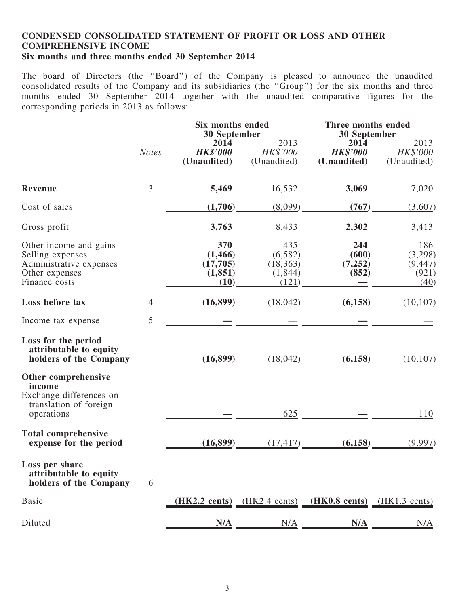#### CONDENSED CONSOLIDATED STATEMENT OF PROFIT OR LOSS AND OTHER COMPREHENSIVE INCOME Six months and three months ended 30 September 2014

The board of Directors (the ''Board'') of the Company is pleased to announce the unaudited consolidated results of the Company and its subsidiaries (the ''Group'') for the six months and three months ended 30 September 2014 together with the unaudited comparative figures for the corresponding periods in 2013 as follows:

|                                                                                                          |                | Six months ended<br>30 September                |                                                 | Three months ended<br><b>30 September</b> |                                             |  |
|----------------------------------------------------------------------------------------------------------|----------------|-------------------------------------------------|-------------------------------------------------|-------------------------------------------|---------------------------------------------|--|
|                                                                                                          | <b>Notes</b>   | 2014<br><b>HK\$'000</b><br>(Unaudited)          | 2013<br>HK\$'000<br>(Unaudited)                 | 2014<br><b>HK\$'000</b><br>(Unaudited)    | 2013<br>HK\$'000<br>(Unaudited)             |  |
| <b>Revenue</b>                                                                                           | 3              | 5,469                                           | 16,532                                          | 3,069                                     | 7,020                                       |  |
| Cost of sales                                                                                            |                | (1,706)                                         | (8,099)                                         | (767)                                     | (3,607)                                     |  |
| Gross profit                                                                                             |                | 3,763                                           | 8,433                                           | 2,302                                     | 3,413                                       |  |
| Other income and gains<br>Selling expenses<br>Administrative expenses<br>Other expenses<br>Finance costs |                | 370<br>(1, 466)<br>(17,705)<br>(1, 851)<br>(10) | 435<br>(6,582)<br>(18, 363)<br>(1,844)<br>(121) | 244<br>(600)<br>(7,252)<br>(852)          | 186<br>(3,298)<br>(9, 447)<br>(921)<br>(40) |  |
| Loss before tax                                                                                          | $\overline{4}$ | (16, 899)                                       | (18,042)                                        | (6,158)                                   | (10, 107)                                   |  |
| Income tax expense                                                                                       | 5              |                                                 |                                                 |                                           |                                             |  |
| Loss for the period<br>attributable to equity<br>holders of the Company                                  |                | (16, 899)                                       | (18,042)                                        | (6,158)                                   | (10, 107)                                   |  |
| Other comprehensive<br>income<br>Exchange differences on<br>translation of foreign<br>operations         |                |                                                 | 625                                             |                                           | 110                                         |  |
| <b>Total comprehensive</b><br>expense for the period                                                     |                | (16, 899)                                       | (17, 417)                                       | (6, 158)                                  | (9,997)                                     |  |
| Loss per share<br>attributable to equity<br>holders of the Company                                       | 6              |                                                 |                                                 |                                           |                                             |  |
| <b>Basic</b>                                                                                             |                | $(HK2.2 \text{ cents})$                         | $(HK2.4 \text{ cents})$                         | $(HK0.8 \text{ cents})$                   | $(HK1.3 \text{ cents})$                     |  |
| Diluted                                                                                                  |                | N/A                                             | N/A                                             | N/A                                       | N/A                                         |  |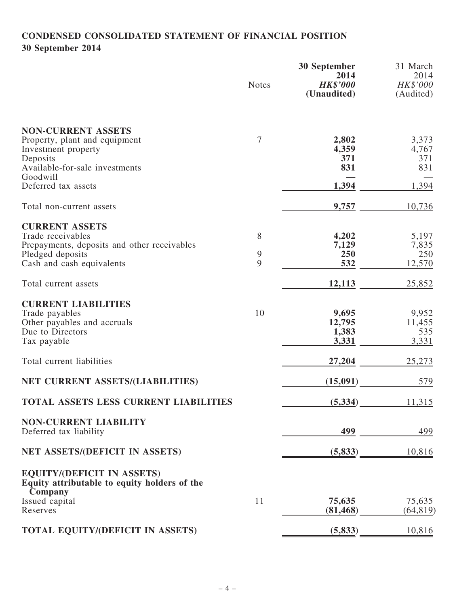## CONDENSED CONSOLIDATED STATEMENT OF FINANCIAL POSITION 30 September 2014

|                                                                                                                                            | <b>Notes</b> | 30 September<br>2014<br><b>HK\$'000</b><br>(Unaudited) | 31 March<br>2014<br>HK\$'000<br>(Audited) |
|--------------------------------------------------------------------------------------------------------------------------------------------|--------------|--------------------------------------------------------|-------------------------------------------|
| <b>NON-CURRENT ASSETS</b><br>Property, plant and equipment<br>Investment property<br>Deposits<br>Available-for-sale investments            | 7            | 2,802<br>4,359<br>371<br>831                           | 3,373<br>4,767<br>371<br>831              |
| Goodwill<br>Deferred tax assets                                                                                                            |              | 1,394                                                  | 1,394                                     |
| Total non-current assets                                                                                                                   |              | 9,757                                                  | 10,736                                    |
| <b>CURRENT ASSETS</b><br>Trade receivables<br>Prepayments, deposits and other receivables<br>Pledged deposits<br>Cash and cash equivalents | 8<br>9<br>9  | 4,202<br>7,129<br>250<br>532                           | 5,197<br>7,835<br>250<br>12,570           |
| Total current assets                                                                                                                       |              | 12,113                                                 | 25,852                                    |
| <b>CURRENT LIABILITIES</b><br>Trade payables<br>Other payables and accruals<br>Due to Directors<br>Tax payable                             | 10           | 9,695<br>12,795<br>1,383<br>3,331                      | 9,952<br>11,455<br>535<br>3,331           |
| Total current liabilities                                                                                                                  |              | 27,204                                                 | 25,273                                    |
| NET CURRENT ASSETS/(LIABILITIES)                                                                                                           |              | (15,091)                                               | 579                                       |
| TOTAL ASSETS LESS CURRENT LIABILITIES                                                                                                      |              | (5, 334)                                               | 11,315                                    |
| <b>NON-CURRENT LIABILITY</b><br>Deferred tax liability                                                                                     |              | 499                                                    | 499                                       |
| NET ASSETS/(DEFICIT IN ASSETS)                                                                                                             |              | (5, 833)                                               | 10,816                                    |
| <b>EQUITY/(DEFICIT IN ASSETS)</b><br>Equity attributable to equity holders of the<br>Company                                               |              |                                                        |                                           |
| Issued capital<br>Reserves                                                                                                                 | 11           | 75,635<br>(81, 468)                                    | 75,635<br>(64, 819)                       |
| TOTAL EQUITY/(DEFICIT IN ASSETS)                                                                                                           |              | (5, 833)                                               | 10,816                                    |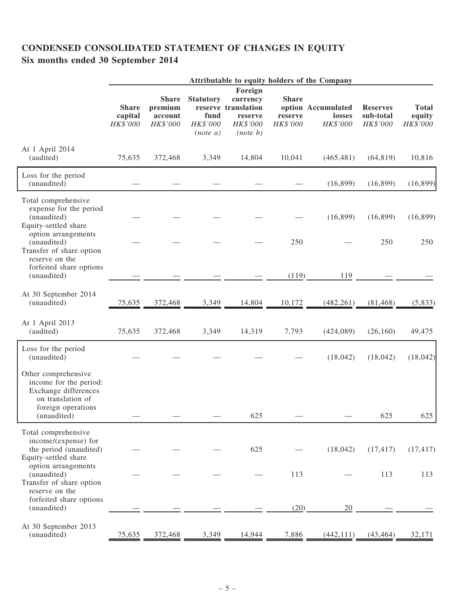## CONDENSED CONSOLIDATED STATEMENT OF CHANGES IN EQUITY Six months ended 30 September 2014

|                                                                                                                                                        |                                     | Attributable to equity holders of the Company  |                                                     |                                                                                  |                                     |                                          |                                          |                                    |
|--------------------------------------------------------------------------------------------------------------------------------------------------------|-------------------------------------|------------------------------------------------|-----------------------------------------------------|----------------------------------------------------------------------------------|-------------------------------------|------------------------------------------|------------------------------------------|------------------------------------|
|                                                                                                                                                        | <b>Share</b><br>capital<br>HK\$'000 | <b>Share</b><br>premium<br>account<br>HK\$'000 | <b>Statutory</b><br>fund<br>HK\$'000<br>$(note\ a)$ | Foreign<br>currency<br>reserve translation<br>reserve<br>HK\$'000<br>$(note\ b)$ | <b>Share</b><br>reserve<br>HK\$'000 | option Accumulated<br>losses<br>HK\$'000 | <b>Reserves</b><br>sub-total<br>HK\$'000 | <b>Total</b><br>equity<br>HK\$'000 |
| At 1 April 2014<br>(audited)                                                                                                                           | 75,635                              | 372,468                                        | 3,349                                               | 14,804                                                                           | 10,041                              | (465, 481)                               | (64, 819)                                | 10,816                             |
| Loss for the period<br>(unaudited)                                                                                                                     |                                     |                                                |                                                     |                                                                                  |                                     | (16, 899)                                | (16, 899)                                | (16, 899)                          |
| Total comprehensive<br>expense for the period<br>(unaudited)<br>Equity-settled share<br>option arrangements<br>(unaudited)<br>Transfer of share option |                                     |                                                |                                                     |                                                                                  | 250                                 | (16, 899)                                | (16, 899)<br>250                         | (16, 899)<br>250                   |
| reserve on the<br>forfeited share options<br>(unaudited)                                                                                               |                                     |                                                |                                                     |                                                                                  | (119)                               | <u>119</u>                               |                                          |                                    |
| At 30 September 2014<br>(unaudited)                                                                                                                    | 75,635                              | 372,468                                        | 3,349                                               | 14,804                                                                           | 10,172                              | (482, 261)                               | (81, 468)                                | (5,833)                            |
| At 1 April 2013<br>(audited)                                                                                                                           | 75,635                              | 372,468                                        | 3,349                                               | 14,319                                                                           | 7,793                               | (424,089)                                | (26, 160)                                | 49,475                             |
| Loss for the period<br>(unaudited)                                                                                                                     |                                     |                                                |                                                     |                                                                                  |                                     | (18, 042)                                | (18, 042)                                | (18, 042)                          |
| Other comprehensive<br>income for the period:<br>Exchange differences<br>on translation of<br>foreign operations<br>(unaudited)                        |                                     |                                                |                                                     | 625                                                                              |                                     |                                          | 625                                      | 625                                |
| Total comprehensive<br>income/(expense) for<br>the period (unaudited)<br>Equity-settled share                                                          |                                     |                                                |                                                     | 625                                                                              |                                     | (18, 042)                                | (17, 417)                                | (17, 417)                          |
| option arrangements<br>(unaudited)<br>Transfer of share option<br>reserve on the                                                                       |                                     |                                                |                                                     |                                                                                  | 113                                 |                                          | 113                                      | 113                                |
| forfeited share options<br>(unaudited)                                                                                                                 |                                     |                                                |                                                     |                                                                                  | (20)                                | 20                                       |                                          |                                    |
| At 30 September 2013<br>(unaudited)                                                                                                                    | 75,635                              | 372,468                                        | 3,349                                               | 14,944                                                                           | 7,886                               | (442, 111)                               | (43, 464)                                | 32,171                             |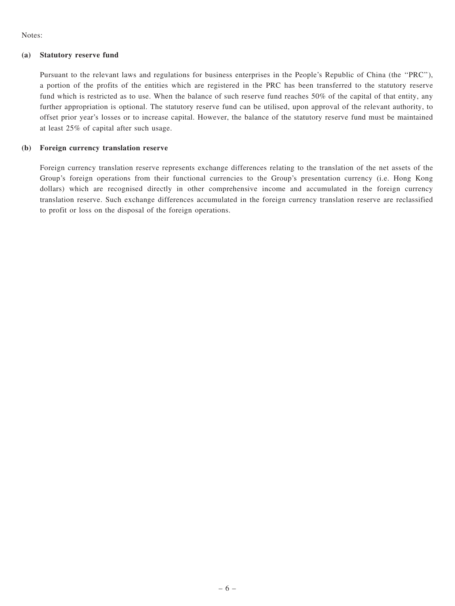Notes:

#### (a) Statutory reserve fund

Pursuant to the relevant laws and regulations for business enterprises in the People's Republic of China (the ''PRC''), a portion of the profits of the entities which are registered in the PRC has been transferred to the statutory reserve fund which is restricted as to use. When the balance of such reserve fund reaches 50% of the capital of that entity, any further appropriation is optional. The statutory reserve fund can be utilised, upon approval of the relevant authority, to offset prior year's losses or to increase capital. However, the balance of the statutory reserve fund must be maintained at least 25% of capital after such usage.

#### (b) Foreign currency translation reserve

Foreign currency translation reserve represents exchange differences relating to the translation of the net assets of the Group's foreign operations from their functional currencies to the Group's presentation currency (i.e. Hong Kong dollars) which are recognised directly in other comprehensive income and accumulated in the foreign currency translation reserve. Such exchange differences accumulated in the foreign currency translation reserve are reclassified to profit or loss on the disposal of the foreign operations.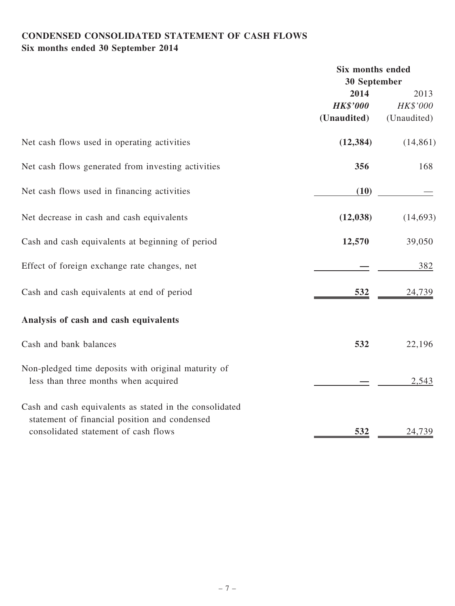## CONDENSED CONSOLIDATED STATEMENT OF CASH FLOWS Six months ended 30 September 2014

|                                                                                                                                                  | <b>Six months ended</b> |             |
|--------------------------------------------------------------------------------------------------------------------------------------------------|-------------------------|-------------|
|                                                                                                                                                  | 30 September            |             |
|                                                                                                                                                  | 2014                    | 2013        |
|                                                                                                                                                  | <b>HK\$'000</b>         | HK\$'000    |
|                                                                                                                                                  | (Unaudited)             | (Unaudited) |
| Net cash flows used in operating activities                                                                                                      | (12, 384)               | (14, 861)   |
| Net cash flows generated from investing activities                                                                                               | 356                     | 168         |
| Net cash flows used in financing activities                                                                                                      | (10)                    |             |
| Net decrease in cash and cash equivalents                                                                                                        | (12, 038)               | (14, 693)   |
| Cash and cash equivalents at beginning of period                                                                                                 | 12,570                  | 39,050      |
| Effect of foreign exchange rate changes, net                                                                                                     |                         | 382         |
| Cash and cash equivalents at end of period                                                                                                       | 532                     | 24,739      |
| Analysis of cash and cash equivalents                                                                                                            |                         |             |
| Cash and bank balances                                                                                                                           | 532                     | 22,196      |
| Non-pledged time deposits with original maturity of<br>less than three months when acquired                                                      |                         | 2,543       |
| Cash and cash equivalents as stated in the consolidated<br>statement of financial position and condensed<br>consolidated statement of cash flows | 532                     | 24,739      |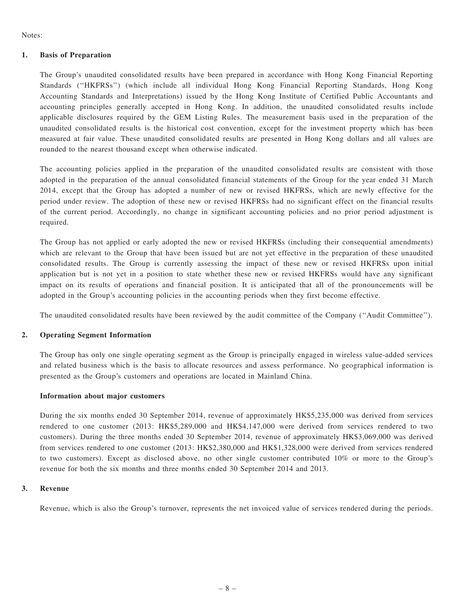Notes:

#### 1. Basis of Preparation

The Group's unaudited consolidated results have been prepared in accordance with Hong Kong Financial Reporting Standards (''HKFRSs'') (which include all individual Hong Kong Financial Reporting Standards, Hong Kong Accounting Standards and Interpretations) issued by the Hong Kong Institute of Certified Public Accountants and accounting principles generally accepted in Hong Kong. In addition, the unaudited consolidated results include applicable disclosures required by the GEM Listing Rules. The measurement basis used in the preparation of the unaudited consolidated results is the historical cost convention, except for the investment property which has been measured at fair value. These unaudited consolidated results are presented in Hong Kong dollars and all values are rounded to the nearest thousand except when otherwise indicated.

The accounting policies applied in the preparation of the unaudited consolidated results are consistent with those adopted in the preparation of the annual consolidated financial statements of the Group for the year ended 31 March 2014, except that the Group has adopted a number of new or revised HKFRSs, which are newly effective for the period under review. The adoption of these new or revised HKFRSs had no significant effect on the financial results of the current period. Accordingly, no change in significant accounting policies and no prior period adjustment is required.

The Group has not applied or early adopted the new or revised HKFRSs (including their consequential amendments) which are relevant to the Group that have been issued but are not yet effective in the preparation of these unaudited consolidated results. The Group is currently assessing the impact of these new or revised HKFRSs upon initial application but is not yet in a position to state whether these new or revised HKFRSs would have any significant impact on its results of operations and financial position. It is anticipated that all of the pronouncements will be adopted in the Group's accounting policies in the accounting periods when they first become effective.

The unaudited consolidated results have been reviewed by the audit committee of the Company (''Audit Committee'').

#### 2. Operating Segment Information

The Group has only one single operating segment as the Group is principally engaged in wireless value-added services and related business which is the basis to allocate resources and assess performance. No geographical information is presented as the Group's customers and operations are located in Mainland China.

#### Information about major customers

During the six months ended 30 September 2014, revenue of approximately HK\$5,235,000 was derived from services rendered to one customer (2013: HK\$5,289,000 and HK\$4,147,000 were derived from services rendered to two customers). During the three months ended 30 September 2014, revenue of approximately HK\$3,069,000 was derived from services rendered to one customer (2013: HK\$2,380,000 and HK\$1,328,000 were derived from services rendered to two customers). Except as disclosed above, no other single customer contributed 10% or more to the Group's revenue for both the six months and three months ended 30 September 2014 and 2013.

#### 3. Revenue

Revenue, which is also the Group's turnover, represents the net invoiced value of services rendered during the periods.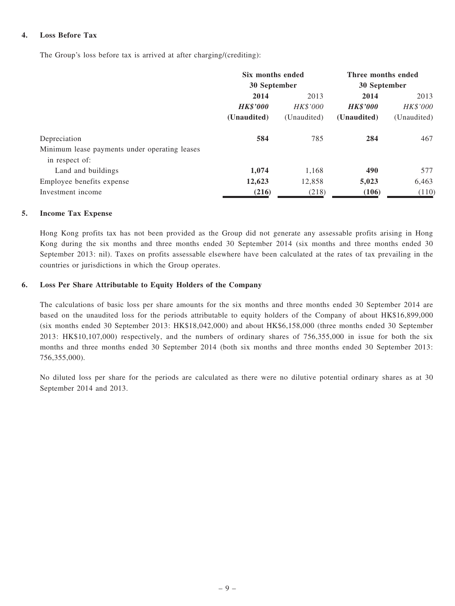#### 4. Loss Before Tax

The Group's loss before tax is arrived at after charging/(crediting):

|                                               | Six months ended |                 | Three months ended |             |
|-----------------------------------------------|------------------|-----------------|--------------------|-------------|
|                                               | 30 September     |                 | 30 September       |             |
|                                               | 2014             | 2013            | 2014               | 2013        |
|                                               | <b>HK\$'000</b>  | <b>HK\$'000</b> | <b>HK\$'000</b>    | HK\$'000    |
|                                               | (Unaudited)      | (Unaudited)     | (Unaudited)        | (Unaudited) |
| Depreciation                                  | 584              | 785             | 284                | 467         |
| Minimum lease payments under operating leases |                  |                 |                    |             |
| in respect of:                                |                  |                 |                    |             |
| Land and buildings                            | 1,074            | 1,168           | 490                | 577         |
| Employee benefits expense                     | 12,623           | 12,858          | 5,023              | 6,463       |
| Investment income                             | (216)            | (218)           | (106)              | (110)       |

#### 5. Income Tax Expense

Hong Kong profits tax has not been provided as the Group did not generate any assessable profits arising in Hong Kong during the six months and three months ended 30 September 2014 (six months and three months ended 30 September 2013: nil). Taxes on profits assessable elsewhere have been calculated at the rates of tax prevailing in the countries or jurisdictions in which the Group operates.

#### 6. Loss Per Share Attributable to Equity Holders of the Company

The calculations of basic loss per share amounts for the six months and three months ended 30 September 2014 are based on the unaudited loss for the periods attributable to equity holders of the Company of about HK\$16,899,000 (six months ended 30 September 2013: HK\$18,042,000) and about HK\$6,158,000 (three months ended 30 September 2013: HK\$10,107,000) respectively, and the numbers of ordinary shares of 756,355,000 in issue for both the six months and three months ended 30 September 2014 (both six months and three months ended 30 September 2013: 756,355,000).

No diluted loss per share for the periods are calculated as there were no dilutive potential ordinary shares as at 30 September 2014 and 2013.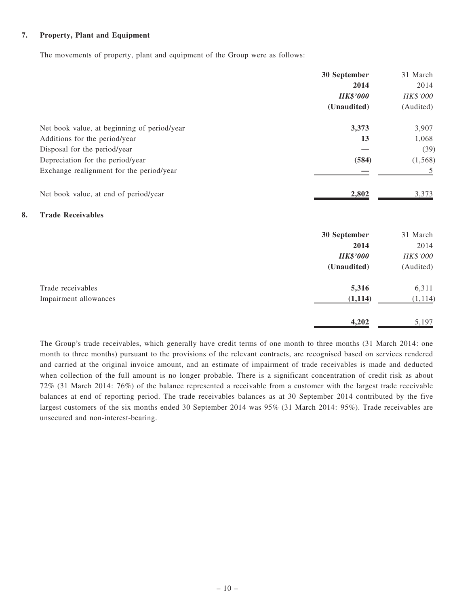#### 7. Property, Plant and Equipment

The movements of property, plant and equipment of the Group were as follows:

|                                             | 30 September    | 31 March  |
|---------------------------------------------|-----------------|-----------|
|                                             | 2014            | 2014      |
|                                             | <b>HK\$'000</b> | HK\$'000  |
|                                             | (Unaudited)     | (Audited) |
| Net book value, at beginning of period/year | 3,373           | 3,907     |
| Additions for the period/year               | 13              | 1,068     |
| Disposal for the period/year                |                 | (39)      |
| Depreciation for the period/year            | (584)           | (1, 568)  |
| Exchange realignment for the period/year    |                 | 5         |
| Net book value, at end of period/year       | 2,802           | 3,373     |
| 8.<br><b>Trade Receivables</b>              |                 |           |
|                                             | 30 September    | 31 March  |
|                                             | 2014            | 2014      |
|                                             | <b>HK\$'000</b> | HK\$'000  |
|                                             | (Unaudited)     | (Audited) |
| Trade receivables                           | 5,316           | 6,311     |
| Impairment allowances                       | (1, 114)        | (1, 114)  |
|                                             | 4,202           | 5,197     |

The Group's trade receivables, which generally have credit terms of one month to three months (31 March 2014: one month to three months) pursuant to the provisions of the relevant contracts, are recognised based on services rendered and carried at the original invoice amount, and an estimate of impairment of trade receivables is made and deducted when collection of the full amount is no longer probable. There is a significant concentration of credit risk as about 72% (31 March 2014: 76%) of the balance represented a receivable from a customer with the largest trade receivable balances at end of reporting period. The trade receivables balances as at 30 September 2014 contributed by the five largest customers of the six months ended 30 September 2014 was 95% (31 March 2014: 95%). Trade receivables are unsecured and non-interest-bearing.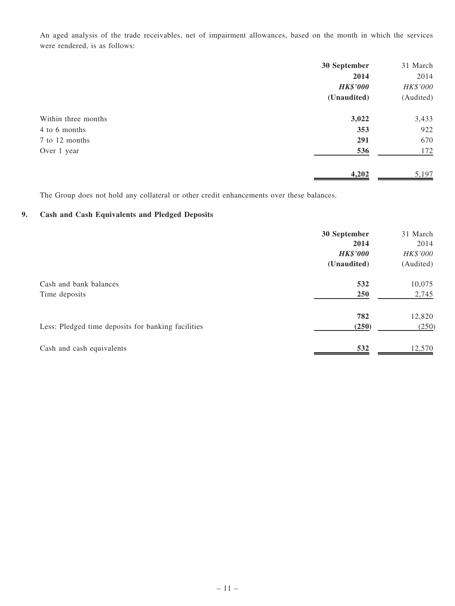An aged analysis of the trade receivables, net of impairment allowances, based on the month in which the services were rendered, is as follows:

|                     | 30 September    | 31 March  |
|---------------------|-----------------|-----------|
|                     | 2014            | 2014      |
|                     | <b>HK\$'000</b> | HK\$'000  |
|                     | (Unaudited)     | (Audited) |
| Within three months | 3,022           | 3,433     |
| 4 to 6 months       | 353             | 922       |
| 7 to 12 months      | 291             | 670       |
| Over 1 year         | 536             | 172       |
|                     | 4,202           | 5,197     |

The Group does not hold any collateral or other credit enhancements over these balances.

#### 9. Cash and Cash Equivalents and Pledged Deposits

|                                                    | 30 September    | 31 March  |
|----------------------------------------------------|-----------------|-----------|
|                                                    | 2014            | 2014      |
|                                                    | <b>HK\$'000</b> | HK\$'000  |
|                                                    | (Unaudited)     | (Audited) |
| Cash and bank balances                             | 532             | 10,075    |
| Time deposits                                      | 250             | 2,745     |
|                                                    | 782             | 12,820    |
| Less: Pledged time deposits for banking facilities | (250)           | (250)     |
| Cash and cash equivalents                          | 532             | 12,570    |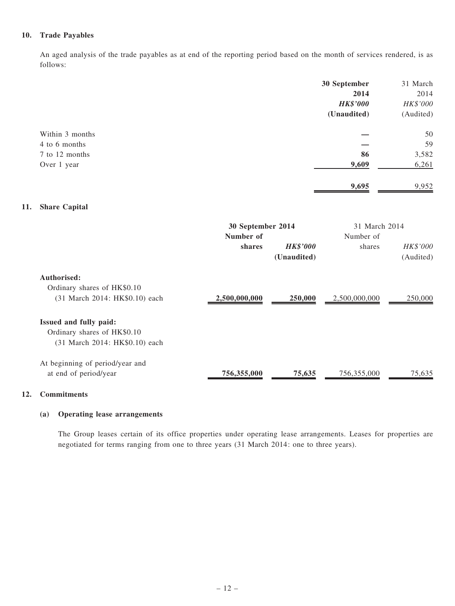#### 10. Trade Payables

An aged analysis of the trade payables as at end of the reporting period based on the month of services rendered, is as follows:

|     |                                                               |                     |                                | 30 September<br>2014<br><b>HK\$'000</b><br>(Unaudited) | 31 March<br>2014<br>HK\$'000<br>(Audited) |
|-----|---------------------------------------------------------------|---------------------|--------------------------------|--------------------------------------------------------|-------------------------------------------|
|     | Within 3 months                                               |                     |                                |                                                        | 50                                        |
|     | 4 to 6 months                                                 |                     |                                |                                                        | 59                                        |
|     | 7 to 12 months                                                |                     |                                | 86                                                     | 3,582                                     |
|     | Over 1 year                                                   |                     |                                | 9,609                                                  | 6,261                                     |
|     |                                                               |                     |                                | 9,695                                                  | 9,952                                     |
| 11. | <b>Share Capital</b>                                          |                     |                                |                                                        |                                           |
|     |                                                               | 30 September 2014   |                                | 31 March 2014                                          |                                           |
|     |                                                               | Number of<br>shares | <b>HK\$'000</b><br>(Unaudited) | Number of<br>shares                                    | HK\$'000<br>(Audited)                     |
|     | Authorised:                                                   |                     |                                |                                                        |                                           |
|     | Ordinary shares of HK\$0.10<br>(31 March 2014: HK\$0.10) each | 2,500,000,000       | 250,000                        | 2,500,000,000                                          | 250,000                                   |
|     | Issued and fully paid:                                        |                     |                                |                                                        |                                           |
|     | Ordinary shares of HK\$0.10<br>(31 March 2014: HK\$0.10) each |                     |                                |                                                        |                                           |
|     | At beginning of period/year and                               |                     |                                |                                                        |                                           |
|     | at end of period/year                                         | 756,355,000         | 75,635                         | 756,355,000                                            | 75,635                                    |

#### 12. Commitments

#### (a) Operating lease arrangements

The Group leases certain of its office properties under operating lease arrangements. Leases for properties are negotiated for terms ranging from one to three years (31 March 2014: one to three years).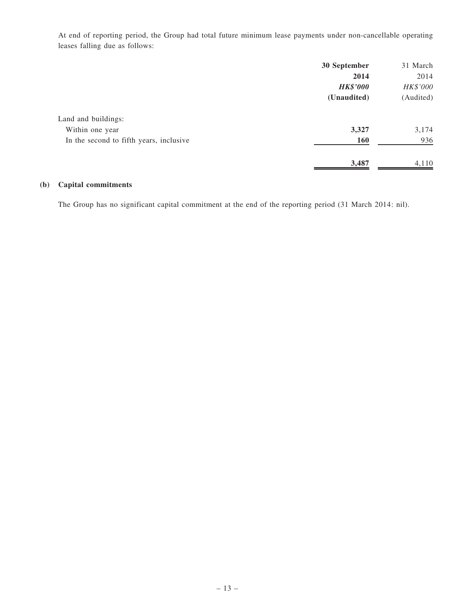At end of reporting period, the Group had total future minimum lease payments under non-cancellable operating leases falling due as follows:

|                                         | 30 September    | 31 March  |
|-----------------------------------------|-----------------|-----------|
|                                         | 2014            | 2014      |
|                                         | <b>HK\$'000</b> | HK\$'000  |
|                                         | (Unaudited)     | (Audited) |
| Land and buildings:                     |                 |           |
| Within one year                         | 3,327           | 3,174     |
| In the second to fifth years, inclusive | <b>160</b>      | 936       |
|                                         | 3,487           | 4,110     |

#### (b) Capital commitments

The Group has no significant capital commitment at the end of the reporting period (31 March 2014: nil).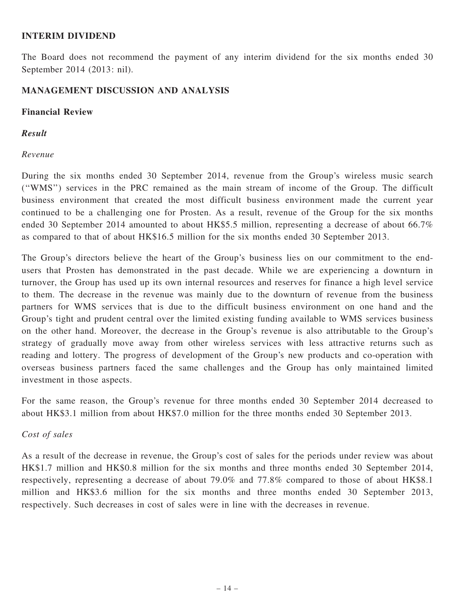#### INTERIM DIVIDEND

The Board does not recommend the payment of any interim dividend for the six months ended 30 September 2014 (2013: nil).

#### MANAGEMENT DISCUSSION AND ANALYSIS

#### Financial Review

#### Result

#### Revenue

During the six months ended 30 September 2014, revenue from the Group's wireless music search (''WMS'') services in the PRC remained as the main stream of income of the Group. The difficult business environment that created the most difficult business environment made the current year continued to be a challenging one for Prosten. As a result, revenue of the Group for the six months ended 30 September 2014 amounted to about HK\$5.5 million, representing a decrease of about 66.7% as compared to that of about HK\$16.5 million for the six months ended 30 September 2013.

The Group's directors believe the heart of the Group's business lies on our commitment to the endusers that Prosten has demonstrated in the past decade. While we are experiencing a downturn in turnover, the Group has used up its own internal resources and reserves for finance a high level service to them. The decrease in the revenue was mainly due to the downturn of revenue from the business partners for WMS services that is due to the difficult business environment on one hand and the Group's tight and prudent central over the limited existing funding available to WMS services business on the other hand. Moreover, the decrease in the Group's revenue is also attributable to the Group's strategy of gradually move away from other wireless services with less attractive returns such as reading and lottery. The progress of development of the Group's new products and co-operation with overseas business partners faced the same challenges and the Group has only maintained limited investment in those aspects.

For the same reason, the Group's revenue for three months ended 30 September 2014 decreased to about HK\$3.1 million from about HK\$7.0 million for the three months ended 30 September 2013.

#### Cost of sales

As a result of the decrease in revenue, the Group's cost of sales for the periods under review was about HK\$1.7 million and HK\$0.8 million for the six months and three months ended 30 September 2014, respectively, representing a decrease of about 79.0% and 77.8% compared to those of about HK\$8.1 million and HK\$3.6 million for the six months and three months ended 30 September 2013, respectively. Such decreases in cost of sales were in line with the decreases in revenue.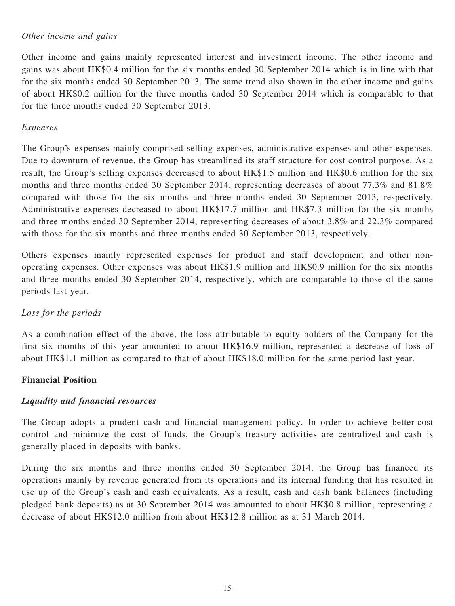#### Other income and gains

Other income and gains mainly represented interest and investment income. The other income and gains was about HK\$0.4 million for the six months ended 30 September 2014 which is in line with that for the six months ended 30 September 2013. The same trend also shown in the other income and gains of about HK\$0.2 million for the three months ended 30 September 2014 which is comparable to that for the three months ended 30 September 2013.

#### Expenses

The Group's expenses mainly comprised selling expenses, administrative expenses and other expenses. Due to downturn of revenue, the Group has streamlined its staff structure for cost control purpose. As a result, the Group's selling expenses decreased to about HK\$1.5 million and HK\$0.6 million for the six months and three months ended 30 September 2014, representing decreases of about 77.3% and 81.8% compared with those for the six months and three months ended 30 September 2013, respectively. Administrative expenses decreased to about HK\$17.7 million and HK\$7.3 million for the six months and three months ended 30 September 2014, representing decreases of about 3.8% and 22.3% compared with those for the six months and three months ended 30 September 2013, respectively.

Others expenses mainly represented expenses for product and staff development and other nonoperating expenses. Other expenses was about HK\$1.9 million and HK\$0.9 million for the six months and three months ended 30 September 2014, respectively, which are comparable to those of the same periods last year.

### Loss for the periods

As a combination effect of the above, the loss attributable to equity holders of the Company for the first six months of this year amounted to about HK\$16.9 million, represented a decrease of loss of about HK\$1.1 million as compared to that of about HK\$18.0 million for the same period last year.

### Financial Position

### Liquidity and financial resources

The Group adopts a prudent cash and financial management policy. In order to achieve better-cost control and minimize the cost of funds, the Group's treasury activities are centralized and cash is generally placed in deposits with banks.

During the six months and three months ended 30 September 2014, the Group has financed its operations mainly by revenue generated from its operations and its internal funding that has resulted in use up of the Group's cash and cash equivalents. As a result, cash and cash bank balances (including pledged bank deposits) as at 30 September 2014 was amounted to about HK\$0.8 million, representing a decrease of about HK\$12.0 million from about HK\$12.8 million as at 31 March 2014.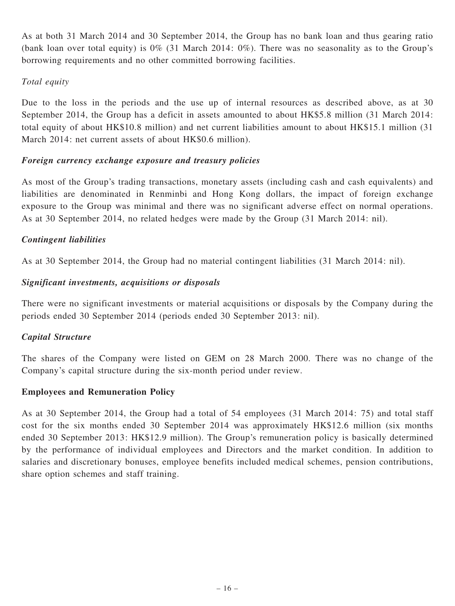As at both 31 March 2014 and 30 September 2014, the Group has no bank loan and thus gearing ratio (bank loan over total equity) is 0% (31 March 2014: 0%). There was no seasonality as to the Group's borrowing requirements and no other committed borrowing facilities.

### Total equity

Due to the loss in the periods and the use up of internal resources as described above, as at 30 September 2014, the Group has a deficit in assets amounted to about HK\$5.8 million (31 March 2014: total equity of about HK\$10.8 million) and net current liabilities amount to about HK\$15.1 million (31 March 2014: net current assets of about HK\$0.6 million).

### Foreign currency exchange exposure and treasury policies

As most of the Group's trading transactions, monetary assets (including cash and cash equivalents) and liabilities are denominated in Renminbi and Hong Kong dollars, the impact of foreign exchange exposure to the Group was minimal and there was no significant adverse effect on normal operations. As at 30 September 2014, no related hedges were made by the Group (31 March 2014: nil).

### Contingent liabilities

As at 30 September 2014, the Group had no material contingent liabilities (31 March 2014: nil).

### Significant investments, acquisitions or disposals

There were no significant investments or material acquisitions or disposals by the Company during the periods ended 30 September 2014 (periods ended 30 September 2013: nil).

### Capital Structure

The shares of the Company were listed on GEM on 28 March 2000. There was no change of the Company's capital structure during the six-month period under review.

### Employees and Remuneration Policy

As at 30 September 2014, the Group had a total of 54 employees (31 March 2014: 75) and total staff cost for the six months ended 30 September 2014 was approximately HK\$12.6 million (six months ended 30 September 2013: HK\$12.9 million). The Group's remuneration policy is basically determined by the performance of individual employees and Directors and the market condition. In addition to salaries and discretionary bonuses, employee benefits included medical schemes, pension contributions, share option schemes and staff training.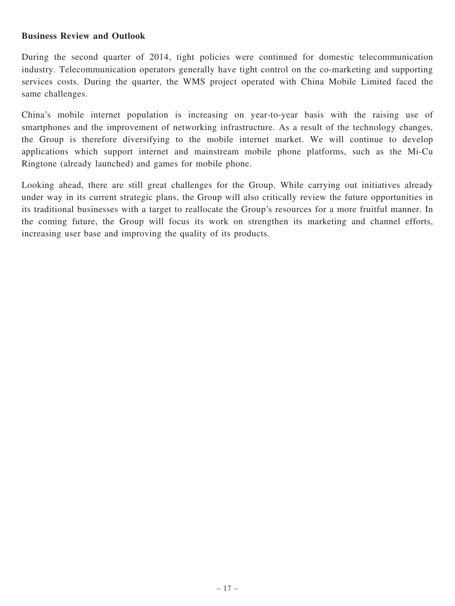#### Business Review and Outlook

During the second quarter of 2014, tight policies were continued for domestic telecommunication industry. Telecommunication operators generally have tight control on the co-marketing and supporting services costs. During the quarter, the WMS project operated with China Mobile Limited faced the same challenges.

China's mobile internet population is increasing on year-to-year basis with the raising use of smartphones and the improvement of networking infrastructure. As a result of the technology changes, the Group is therefore diversifying to the mobile internet market. We will continue to develop applications which support internet and mainstream mobile phone platforms, such as the Mi-Cu Ringtone (already launched) and games for mobile phone.

Looking ahead, there are still great challenges for the Group. While carrying out initiatives already under way in its current strategic plans, the Group will also critically review the future opportunities in its traditional businesses with a target to reallocate the Group's resources for a more fruitful manner. In the coming future, the Group will focus its work on strengthen its marketing and channel efforts, increasing user base and improving the quality of its products.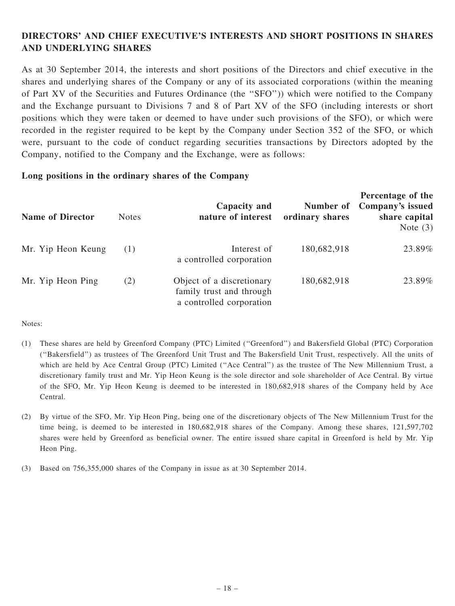### DIRECTORS' AND CHIEF EXECUTIVE'S INTERESTS AND SHORT POSITIONS IN SHARES AND UNDERLYING SHARES

As at 30 September 2014, the interests and short positions of the Directors and chief executive in the shares and underlying shares of the Company or any of its associated corporations (within the meaning of Part XV of the Securities and Futures Ordinance (the ''SFO'')) which were notified to the Company and the Exchange pursuant to Divisions 7 and 8 of Part XV of the SFO (including interests or short positions which they were taken or deemed to have under such provisions of the SFO), or which were recorded in the register required to be kept by the Company under Section 352 of the SFO, or which were, pursuant to the code of conduct regarding securities transactions by Directors adopted by the Company, notified to the Company and the Exchange, were as follows:

#### Long positions in the ordinary shares of the Company

| <b>Name of Director</b> | <b>Notes</b> | Capacity and<br>nature of interest                                                | Number of<br>ordinary shares | Percentage of the<br>Company's issued<br>share capital<br>Note $(3)$ |
|-------------------------|--------------|-----------------------------------------------------------------------------------|------------------------------|----------------------------------------------------------------------|
| Mr. Yip Heon Keung      | (1)          | Interest of<br>a controlled corporation                                           | 180,682,918                  | 23.89%                                                               |
| Mr. Yip Heon Ping       | (2)          | Object of a discretionary<br>family trust and through<br>a controlled corporation | 180,682,918                  | 23.89%                                                               |

Notes:

- (1) These shares are held by Greenford Company (PTC) Limited (''Greenford'') and Bakersfield Global (PTC) Corporation (''Bakersfield'') as trustees of The Greenford Unit Trust and The Bakersfield Unit Trust, respectively. All the units of which are held by Ace Central Group (PTC) Limited ("Ace Central") as the trustee of The New Millennium Trust, a discretionary family trust and Mr. Yip Heon Keung is the sole director and sole shareholder of Ace Central. By virtue of the SFO, Mr. Yip Heon Keung is deemed to be interested in 180,682,918 shares of the Company held by Ace Central.
- (2) By virtue of the SFO, Mr. Yip Heon Ping, being one of the discretionary objects of The New Millennium Trust for the time being, is deemed to be interested in 180,682,918 shares of the Company. Among these shares, 121,597,702 shares were held by Greenford as beneficial owner. The entire issued share capital in Greenford is held by Mr. Yip Heon Ping.
- (3) Based on 756,355,000 shares of the Company in issue as at 30 September 2014.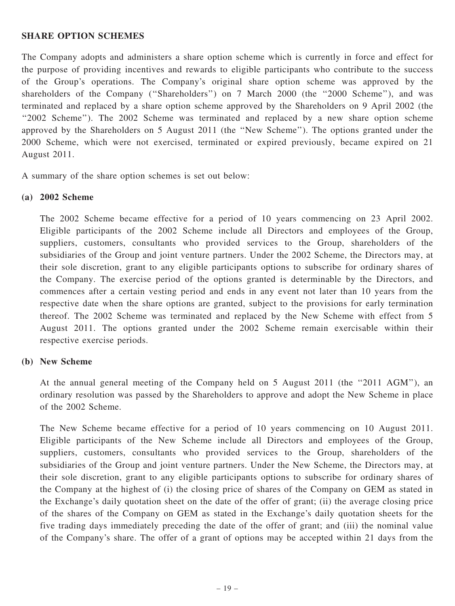#### SHARE OPTION SCHEMES

The Company adopts and administers a share option scheme which is currently in force and effect for the purpose of providing incentives and rewards to eligible participants who contribute to the success of the Group's operations. The Company's original share option scheme was approved by the shareholders of the Company ("Shareholders") on 7 March 2000 (the "2000 Scheme"), and was terminated and replaced by a share option scheme approved by the Shareholders on 9 April 2002 (the ''2002 Scheme''). The 2002 Scheme was terminated and replaced by a new share option scheme approved by the Shareholders on 5 August 2011 (the ''New Scheme''). The options granted under the 2000 Scheme, which were not exercised, terminated or expired previously, became expired on 21 August 2011.

A summary of the share option schemes is set out below:

#### (a) 2002 Scheme

The 2002 Scheme became effective for a period of 10 years commencing on 23 April 2002. Eligible participants of the 2002 Scheme include all Directors and employees of the Group, suppliers, customers, consultants who provided services to the Group, shareholders of the subsidiaries of the Group and joint venture partners. Under the 2002 Scheme, the Directors may, at their sole discretion, grant to any eligible participants options to subscribe for ordinary shares of the Company. The exercise period of the options granted is determinable by the Directors, and commences after a certain vesting period and ends in any event not later than 10 years from the respective date when the share options are granted, subject to the provisions for early termination thereof. The 2002 Scheme was terminated and replaced by the New Scheme with effect from 5 August 2011. The options granted under the 2002 Scheme remain exercisable within their respective exercise periods.

#### (b) New Scheme

At the annual general meeting of the Company held on 5 August 2011 (the ''2011 AGM''), an ordinary resolution was passed by the Shareholders to approve and adopt the New Scheme in place of the 2002 Scheme.

The New Scheme became effective for a period of 10 years commencing on 10 August 2011. Eligible participants of the New Scheme include all Directors and employees of the Group, suppliers, customers, consultants who provided services to the Group, shareholders of the subsidiaries of the Group and joint venture partners. Under the New Scheme, the Directors may, at their sole discretion, grant to any eligible participants options to subscribe for ordinary shares of the Company at the highest of (i) the closing price of shares of the Company on GEM as stated in the Exchange's daily quotation sheet on the date of the offer of grant; (ii) the average closing price of the shares of the Company on GEM as stated in the Exchange's daily quotation sheets for the five trading days immediately preceding the date of the offer of grant; and (iii) the nominal value of the Company's share. The offer of a grant of options may be accepted within 21 days from the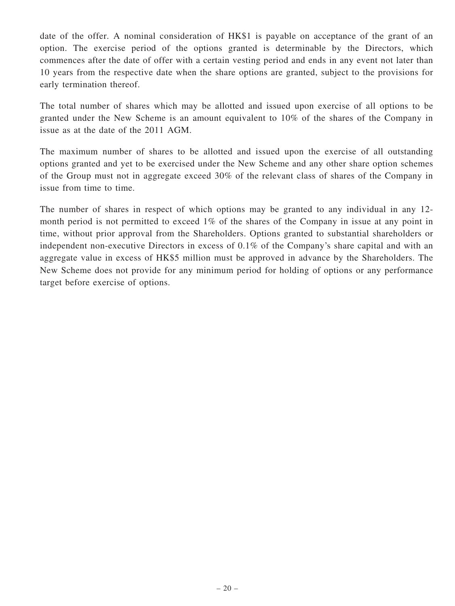date of the offer. A nominal consideration of HK\$1 is payable on acceptance of the grant of an option. The exercise period of the options granted is determinable by the Directors, which commences after the date of offer with a certain vesting period and ends in any event not later than 10 years from the respective date when the share options are granted, subject to the provisions for early termination thereof.

The total number of shares which may be allotted and issued upon exercise of all options to be granted under the New Scheme is an amount equivalent to 10% of the shares of the Company in issue as at the date of the 2011 AGM.

The maximum number of shares to be allotted and issued upon the exercise of all outstanding options granted and yet to be exercised under the New Scheme and any other share option schemes of the Group must not in aggregate exceed 30% of the relevant class of shares of the Company in issue from time to time.

The number of shares in respect of which options may be granted to any individual in any 12 month period is not permitted to exceed 1% of the shares of the Company in issue at any point in time, without prior approval from the Shareholders. Options granted to substantial shareholders or independent non-executive Directors in excess of 0.1% of the Company's share capital and with an aggregate value in excess of HK\$5 million must be approved in advance by the Shareholders. The New Scheme does not provide for any minimum period for holding of options or any performance target before exercise of options.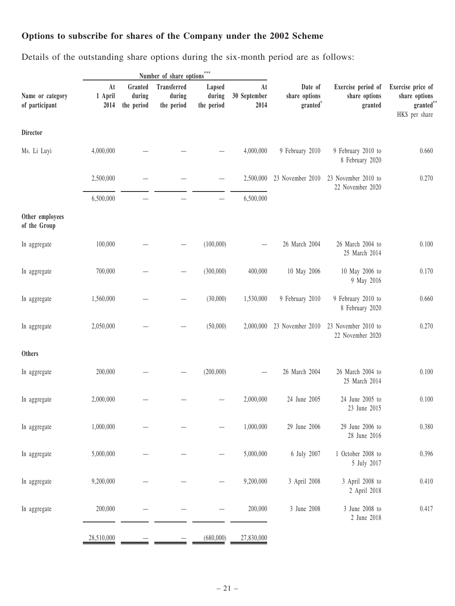## Options to subscribe for shares of the Company under the 2002 Scheme

Details of the outstanding share options during the six-month period are as follows:

|                                    |                       |                                 | Number of share options                    | $***$                          |                            |                                      |                                                |                                                                                 |
|------------------------------------|-----------------------|---------------------------------|--------------------------------------------|--------------------------------|----------------------------|--------------------------------------|------------------------------------------------|---------------------------------------------------------------------------------|
| Name or category<br>of participant | At<br>1 April<br>2014 | Granted<br>during<br>the period | <b>Transferred</b><br>during<br>the period | Lapsed<br>during<br>the period | At<br>30 September<br>2014 | Date of<br>share options<br>granted* | Exercise period of<br>share options<br>granted | Exercise price of<br>share options<br>$\mathbf{granted}^{**}$<br>HK\$ per share |
| <b>Director</b>                    |                       |                                 |                                            |                                |                            |                                      |                                                |                                                                                 |
| Ms. Li Luyi                        | 4,000,000             |                                 |                                            |                                | 4,000,000                  | 9 February 2010                      | 9 February 2010 to<br>8 February 2020          | 0.660                                                                           |
|                                    | 2,500,000             |                                 |                                            |                                | 2,500,000                  | 23 November 2010                     | 23 November 2010 to<br>22 November 2020        | 0.270                                                                           |
|                                    | 6,500,000             |                                 |                                            |                                | 6,500,000                  |                                      |                                                |                                                                                 |
| Other employees<br>of the Group    |                       |                                 |                                            |                                |                            |                                      |                                                |                                                                                 |
| In aggregate                       | 100,000               |                                 |                                            | (100,000)                      |                            | 26 March 2004                        | 26 March 2004 to<br>25 March 2014              | 0.100                                                                           |
| In aggregate                       | 700,000               |                                 |                                            | (300,000)                      | 400,000                    | 10 May 2006                          | 10 May 2006 to<br>9 May 2016                   | 0.170                                                                           |
| In aggregate                       | 1,560,000             |                                 |                                            | (30,000)                       | 1,530,000                  | 9 February 2010                      | 9 February 2010 to<br>8 February 2020          | 0.660                                                                           |
| In aggregate                       | 2,050,000             |                                 |                                            | (50,000)                       | 2,000,000                  | 23 November 2010                     | 23 November 2010 to<br>22 November 2020        | 0.270                                                                           |
| Others                             |                       |                                 |                                            |                                |                            |                                      |                                                |                                                                                 |
| In aggregate                       | 200,000               |                                 |                                            | (200,000)                      |                            | 26 March 2004                        | 26 March 2004 to<br>25 March 2014              | 0.100                                                                           |
| In aggregate                       | 2,000,000             |                                 |                                            |                                | 2,000,000                  | 24 June 2005                         | 24 June 2005 to<br>23 June 2015                | 0.100                                                                           |
| In aggregate                       | 1,000,000             |                                 |                                            |                                | 1,000,000                  | 29 June 2006                         | 29 June 2006 to<br>28 June 2016                | 0.380                                                                           |
| In aggregate                       | 5,000,000             |                                 |                                            |                                | 5,000,000                  | 6 July 2007                          | 1 October 2008 to<br>5 July 2017               | 0.396                                                                           |
| In aggregate                       | 9,200,000             |                                 |                                            |                                | 9,200,000                  | 3 April 2008                         | 3 April 2008 to<br>2 April 2018                | 0.410                                                                           |
| In aggregate                       | 200,000               |                                 |                                            |                                | 200,000                    | 3 June 2008                          | 3 June 2008 to<br>2 June 2018                  | 0.417                                                                           |
|                                    | 28,510,000            |                                 |                                            | (680,000)                      | 27,830,000                 |                                      |                                                |                                                                                 |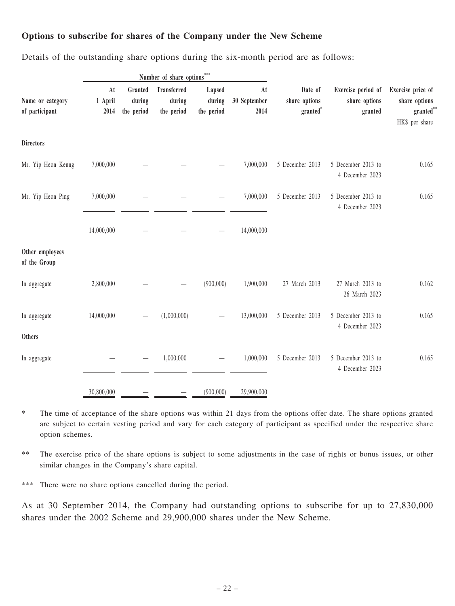### Options to subscribe for shares of the Company under the New Scheme

|  |  | Details of the outstanding share options during the six-month period are as follows: |  |  |  |  |  |  |  |  |  |
|--|--|--------------------------------------------------------------------------------------|--|--|--|--|--|--|--|--|--|
|--|--|--------------------------------------------------------------------------------------|--|--|--|--|--|--|--|--|--|

|                                    |                                  |                                 | Number of share options             | ***                            |                                                                                |                                                | Exercise price of<br>share options<br>$\mathbf{granted}^{**}$<br>HK\$ per share |       |
|------------------------------------|----------------------------------|---------------------------------|-------------------------------------|--------------------------------|--------------------------------------------------------------------------------|------------------------------------------------|---------------------------------------------------------------------------------|-------|
| Name or category<br>of participant | $\mathbf{At}$<br>1 April<br>2014 | Granted<br>during<br>the period | Transferred<br>during<br>the period | Lapsed<br>during<br>the period | At<br>Date of<br>30 September<br>share options<br>$\mathbf{granted}^*$<br>2014 | Exercise period of<br>share options<br>granted |                                                                                 |       |
| <b>Directors</b>                   |                                  |                                 |                                     |                                |                                                                                |                                                |                                                                                 |       |
| Mr. Yip Heon Keung                 | 7,000,000                        |                                 |                                     |                                | 7,000,000                                                                      | 5 December 2013                                | 5 December 2013 to<br>4 December 2023                                           | 0.165 |
| Mr. Yip Heon Ping                  | 7,000,000                        |                                 |                                     |                                | 7,000,000                                                                      | 5 December 2013                                | 5 December 2013 to<br>4 December 2023                                           | 0.165 |
|                                    | 14,000,000                       |                                 |                                     |                                | 14,000,000                                                                     |                                                |                                                                                 |       |
| Other employees<br>of the Group    |                                  |                                 |                                     |                                |                                                                                |                                                |                                                                                 |       |
| In aggregate                       | 2,800,000                        |                                 |                                     | (900,000)                      | 1,900,000                                                                      | 27 March 2013                                  | 27 March 2013 to<br>26 March 2023                                               | 0.162 |
| In aggregate                       | 14,000,000                       |                                 | (1,000,000)                         |                                | 13,000,000                                                                     | 5 December 2013                                | 5 December 2013 to<br>4 December 2023                                           | 0.165 |
| Others                             |                                  |                                 |                                     |                                |                                                                                |                                                |                                                                                 |       |
| In aggregate                       |                                  |                                 | 1,000,000                           |                                | 1,000,000                                                                      | 5 December 2013                                | 5 December 2013 to<br>4 December 2023                                           | 0.165 |
|                                    | 30,800,000                       |                                 |                                     | (900,000)                      | 29,900,000                                                                     |                                                |                                                                                 |       |

\* The time of acceptance of the share options was within 21 days from the options offer date. The share options granted are subject to certain vesting period and vary for each category of participant as specified under the respective share option schemes.

\*\* The exercise price of the share options is subject to some adjustments in the case of rights or bonus issues, or other similar changes in the Company's share capital.

\*\*\* There were no share options cancelled during the period.

As at 30 September 2014, the Company had outstanding options to subscribe for up to 27,830,000 shares under the 2002 Scheme and 29,900,000 shares under the New Scheme.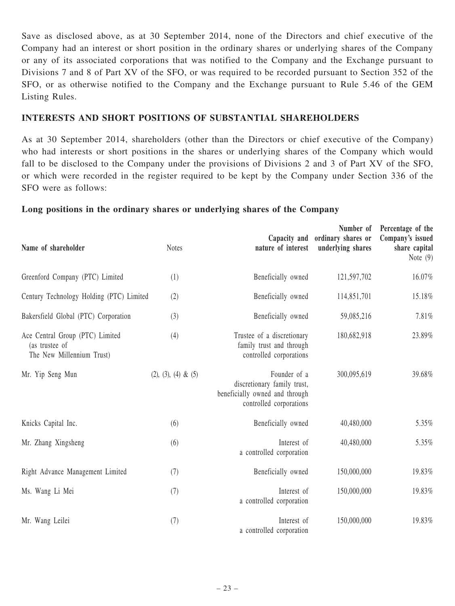Save as disclosed above, as at 30 September 2014, none of the Directors and chief executive of the Company had an interest or short position in the ordinary shares or underlying shares of the Company or any of its associated corporations that was notified to the Company and the Exchange pursuant to Divisions 7 and 8 of Part XV of the SFO, or was required to be recorded pursuant to Section 352 of the SFO, or as otherwise notified to the Company and the Exchange pursuant to Rule 5.46 of the GEM Listing Rules.

#### INTERESTS AND SHORT POSITIONS OF SUBSTANTIAL SHAREHOLDERS

As at 30 September 2014, shareholders (other than the Directors or chief executive of the Company) who had interests or short positions in the shares or underlying shares of the Company which would fall to be disclosed to the Company under the provisions of Divisions 2 and 3 of Part XV of the SFO, or which were recorded in the register required to be kept by the Company under Section 336 of the SFO were as follows:

#### Long positions in the ordinary shares or underlying shares of the Company

| Name of shareholder                                                            | <b>Notes</b>           | nature of interest                                                                                       | Number of<br>Capacity and ordinary shares or<br>underlying shares | Percentage of the<br>Company's issued<br>share capital<br>Note $(9)$ |
|--------------------------------------------------------------------------------|------------------------|----------------------------------------------------------------------------------------------------------|-------------------------------------------------------------------|----------------------------------------------------------------------|
| Greenford Company (PTC) Limited                                                | (1)                    | Beneficially owned                                                                                       | 121,597,702                                                       | 16.07%                                                               |
| Century Technology Holding (PTC) Limited                                       | (2)                    | Beneficially owned                                                                                       | 114,851,701                                                       | 15.18%                                                               |
| Bakersfield Global (PTC) Corporation                                           | (3)                    | Beneficially owned                                                                                       | 59,085,216                                                        | 7.81%                                                                |
| Ace Central Group (PTC) Limited<br>(as trustee of<br>The New Millennium Trust) | (4)                    | Trustee of a discretionary<br>family trust and through<br>controlled corporations                        | 180,682,918                                                       | 23.89%                                                               |
| Mr. Yip Seng Mun                                                               | $(2), (3), (4) \& (5)$ | Founder of a<br>discretionary family trust,<br>beneficially owned and through<br>controlled corporations | 300,095,619                                                       | 39.68%                                                               |
| Knicks Capital Inc.                                                            | (6)                    | Beneficially owned                                                                                       | 40,480,000                                                        | 5.35%                                                                |
| Mr. Zhang Xingsheng                                                            | (6)                    | Interest of<br>a controlled corporation                                                                  | 40,480,000                                                        | 5.35%                                                                |
| Right Advance Management Limited                                               | (7)                    | Beneficially owned                                                                                       | 150,000,000                                                       | 19.83%                                                               |
| Ms. Wang Li Mei                                                                | (7)                    | Interest of<br>a controlled corporation                                                                  | 150,000,000                                                       | 19.83%                                                               |
| Mr. Wang Leilei                                                                | (7)                    | Interest of<br>a controlled corporation                                                                  | 150,000,000                                                       | 19.83%                                                               |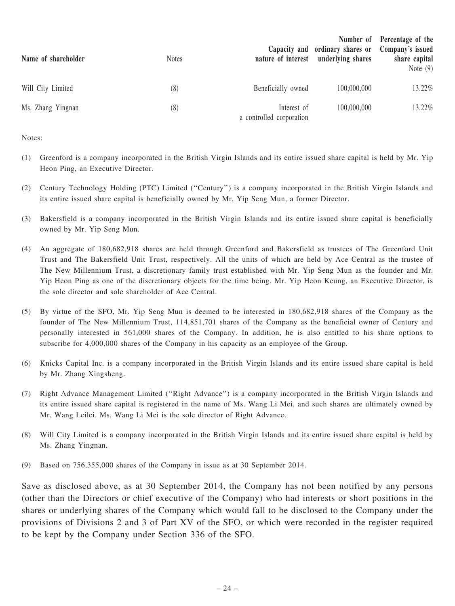| Name of shareholder | <b>Notes</b> | nature of interest                      | Capacity and ordinary shares or Company's issued<br>underlying shares | Number of Percentage of the<br>share capital<br>Note $(9)$ |
|---------------------|--------------|-----------------------------------------|-----------------------------------------------------------------------|------------------------------------------------------------|
| Will City Limited   | (8)          | Beneficially owned                      | 100,000,000                                                           | 13.22%                                                     |
| Ms. Zhang Yingnan   | (8)          | Interest of<br>a controlled corporation | 100,000,000                                                           | 13.22%                                                     |

Notes:

- (1) Greenford is a company incorporated in the British Virgin Islands and its entire issued share capital is held by Mr. Yip Heon Ping, an Executive Director.
- (2) Century Technology Holding (PTC) Limited (''Century'') is a company incorporated in the British Virgin Islands and its entire issued share capital is beneficially owned by Mr. Yip Seng Mun, a former Director.
- (3) Bakersfield is a company incorporated in the British Virgin Islands and its entire issued share capital is beneficially owned by Mr. Yip Seng Mun.
- (4) An aggregate of 180,682,918 shares are held through Greenford and Bakersfield as trustees of The Greenford Unit Trust and The Bakersfield Unit Trust, respectively. All the units of which are held by Ace Central as the trustee of The New Millennium Trust, a discretionary family trust established with Mr. Yip Seng Mun as the founder and Mr. Yip Heon Ping as one of the discretionary objects for the time being. Mr. Yip Heon Keung, an Executive Director, is the sole director and sole shareholder of Ace Central.
- (5) By virtue of the SFO, Mr. Yip Seng Mun is deemed to be interested in 180,682,918 shares of the Company as the founder of The New Millennium Trust, 114,851,701 shares of the Company as the beneficial owner of Century and personally interested in 561,000 shares of the Company. In addition, he is also entitled to his share options to subscribe for 4,000,000 shares of the Company in his capacity as an employee of the Group.
- (6) Knicks Capital Inc. is a company incorporated in the British Virgin Islands and its entire issued share capital is held by Mr. Zhang Xingsheng.
- (7) Right Advance Management Limited (''Right Advance'') is a company incorporated in the British Virgin Islands and its entire issued share capital is registered in the name of Ms. Wang Li Mei, and such shares are ultimately owned by Mr. Wang Leilei. Ms. Wang Li Mei is the sole director of Right Advance.
- (8) Will City Limited is a company incorporated in the British Virgin Islands and its entire issued share capital is held by Ms. Zhang Yingnan.
- (9) Based on 756,355,000 shares of the Company in issue as at 30 September 2014.

Save as disclosed above, as at 30 September 2014, the Company has not been notified by any persons (other than the Directors or chief executive of the Company) who had interests or short positions in the shares or underlying shares of the Company which would fall to be disclosed to the Company under the provisions of Divisions 2 and 3 of Part XV of the SFO, or which were recorded in the register required to be kept by the Company under Section 336 of the SFO.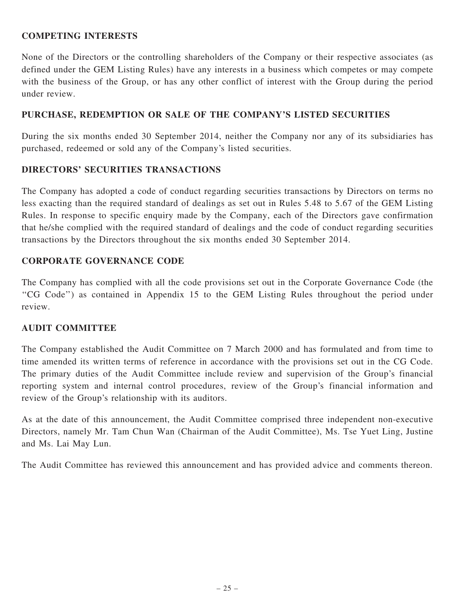### COMPETING INTERESTS

None of the Directors or the controlling shareholders of the Company or their respective associates (as defined under the GEM Listing Rules) have any interests in a business which competes or may compete with the business of the Group, or has any other conflict of interest with the Group during the period under review.

### PURCHASE, REDEMPTION OR SALE OF THE COMPANY'S LISTED SECURITIES

During the six months ended 30 September 2014, neither the Company nor any of its subsidiaries has purchased, redeemed or sold any of the Company's listed securities.

### DIRECTORS' SECURITIES TRANSACTIONS

The Company has adopted a code of conduct regarding securities transactions by Directors on terms no less exacting than the required standard of dealings as set out in Rules 5.48 to 5.67 of the GEM Listing Rules. In response to specific enquiry made by the Company, each of the Directors gave confirmation that he/she complied with the required standard of dealings and the code of conduct regarding securities transactions by the Directors throughout the six months ended 30 September 2014.

### CORPORATE GOVERNANCE CODE

The Company has complied with all the code provisions set out in the Corporate Governance Code (the ''CG Code'') as contained in Appendix 15 to the GEM Listing Rules throughout the period under review.

### AUDIT COMMITTEE

The Company established the Audit Committee on 7 March 2000 and has formulated and from time to time amended its written terms of reference in accordance with the provisions set out in the CG Code. The primary duties of the Audit Committee include review and supervision of the Group's financial reporting system and internal control procedures, review of the Group's financial information and review of the Group's relationship with its auditors.

As at the date of this announcement, the Audit Committee comprised three independent non-executive Directors, namely Mr. Tam Chun Wan (Chairman of the Audit Committee), Ms. Tse Yuet Ling, Justine and Ms. Lai May Lun.

The Audit Committee has reviewed this announcement and has provided advice and comments thereon.